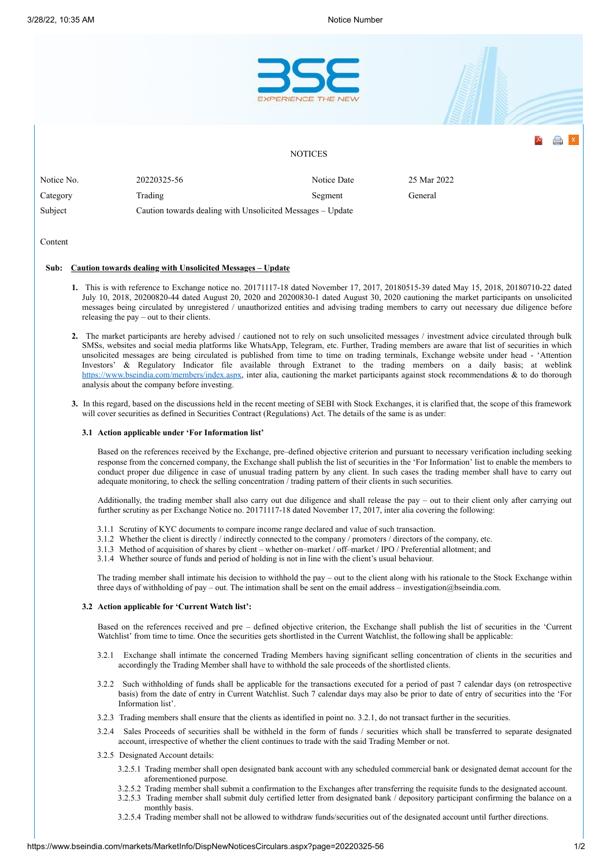

## **Sub: Caution towards dealing with Unsolicited Messages – Update**

- **1.** This is with reference to Exchange notice no. 20171117-18 dated November 17, 2017, 20180515-39 dated May 15, 2018, 20180710-22 dated July 10, 2018, 20200820-44 dated August 20, 2020 and 20200830-1 dated August 30, 2020 cautioning the market participants on unsolicited messages being circulated by unregistered / unauthorized entities and advising trading members to carry out necessary due diligence before releasing the pay – out to their clients.
- **2.** The market participants are hereby advised / cautioned not to rely on such unsolicited messages / investment advice circulated through bulk SMSs, websites and social media platforms like WhatsApp, Telegram, etc. Further, Trading members are aware that list of securities in which unsolicited messages are being circulated is published from time to time on trading terminals, Exchange website under head - 'Attention Investors' & Regulatory Indicator file available through Extranet to the trading members on a daily basis; at weblink [https://www.bseindia.com/members/index.aspx,](https://www.bseindia.com/members/index.aspx) inter alia, cautioning the market participants against stock recommendations & to do thorough analysis about the company before investing.
- **3.** In this regard, based on the discussions held in the recent meeting of SEBI with Stock Exchanges, it is clarified that, the scope of this framework will cover securities as defined in Securities Contract (Regulations) Act. The details of the same is as under:

## **3.1 Action applicable under 'For Information list'**

Based on the references received by the Exchange, pre–defined objective criterion and pursuant to necessary verification including seeking response from the concerned company, the Exchange shall publish the list of securities in the 'For Information' list to enable the members to conduct proper due diligence in case of unusual trading pattern by any client. In such cases the trading member shall have to carry out adequate monitoring, to check the selling concentration / trading pattern of their clients in such securities.

Additionally, the trading member shall also carry out due diligence and shall release the pay – out to their client only after carrying out further scrutiny as per Exchange Notice no. 20171117-18 dated November 17, 2017, inter alia covering the following:

- 3.1.1 Scrutiny of KYC documents to compare income range declared and value of such transaction.
- 3.1.2 Whether the client is directly / indirectly connected to the company / promoters / directors of the company, etc.
- 3.1.3 Method of acquisition of shares by client whether on–market / off–market / IPO / Preferential allotment; and
- 3.1.4 Whether source of funds and period of holding is not in line with the client's usual behaviour.

The trading member shall intimate his decision to withhold the pay – out to the client along with his rationale to the Stock Exchange within three days of withholding of pay – out. The intimation shall be sent on the email address – investigation@bseindia.com.

## **3.2 Action applicable for 'Current Watch list':**

Based on the references received and pre – defined objective criterion, the Exchange shall publish the list of securities in the 'Current Watchlist' from time to time. Once the securities gets shortlisted in the Current Watchlist, the following shall be applicable:

- 3.2.1 Exchange shall intimate the concerned Trading Members having significant selling concentration of clients in the securities and accordingly the Trading Member shall have to withhold the sale proceeds of the shortlisted clients.
- 3.2.2 Such withholding of funds shall be applicable for the transactions executed for a period of past 7 calendar days (on retrospective basis) from the date of entry in Current Watchlist. Such 7 calendar days may also be prior to date of entry of securities into the 'For Information list'.
- 3.2.3 Trading members shall ensure that the clients as identified in point no. 3.2.1, do not transact further in the securities.
- 3.2.4 Sales Proceeds of securities shall be withheld in the form of funds / securities which shall be transferred to separate designated account, irrespective of whether the client continues to trade with the said Trading Member or not.
- 3.2.5 Designated Account details:
	- 3.2.5.1 Trading member shall open designated bank account with any scheduled commercial bank or designated demat account for the aforementioned purpose.
	- 3.2.5.2 Trading member shall submit a confirmation to the Exchanges after transferring the requisite funds to the designated account.
	- 3.2.5.3 Trading member shall submit duly certified letter from designated bank / depository participant confirming the balance on a monthly basis.
	- 3.2.5.4 Trading member shall not be allowed to withdraw funds/securities out of the designated account until further directions.